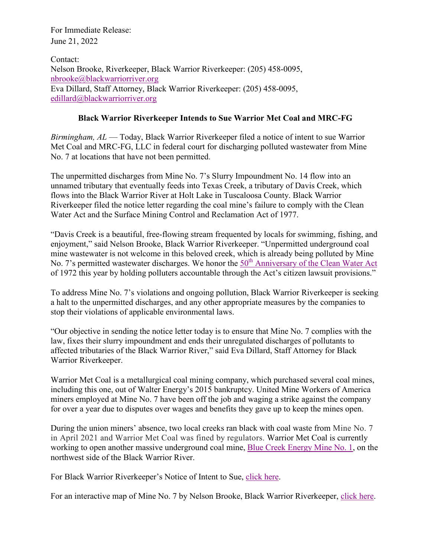For Immediate Release: June 21, 2022

Contact: Nelson Brooke, Riverkeeper, Black Warrior Riverkeeper: (205) 458-0095, [nbrooke@blackwarriorriver.org](mailto:nbrooke@blackwarriorriver.org) Eva Dillard, Staff Attorney, Black Warrior Riverkeeper: (205) 458-0095, [edillard@blackwarriorriver.org](mailto:edillard@blackwarriorriver.org)

## **Black Warrior Riverkeeper Intends to Sue Warrior Met Coal and MRC-FG**

*Birmingham, AL* — Today, Black Warrior Riverkeeper filed a notice of intent to sue Warrior Met Coal and MRC-FG, LLC in federal court for discharging polluted wastewater from Mine No. 7 at locations that have not been permitted.

The unpermitted discharges from Mine No. 7's Slurry Impoundment No. 14 flow into an unnamed tributary that eventually feeds into Texas Creek, a tributary of Davis Creek, which flows into the Black Warrior River at Holt Lake in Tuscaloosa County. Black Warrior Riverkeeper filed the notice letter regarding the coal mine's failure to comply with the Clean Water Act and the Surface Mining Control and Reclamation Act of 1977.

"Davis Creek is a beautiful, free-flowing stream frequented by locals for swimming, fishing, and enjoyment," said Nelson Brooke, Black Warrior Riverkeeper. "Unpermitted underground coal mine wastewater is not welcome in this beloved creek, which is already being polluted by Mine No. 7's permitted wastewater discharges. We honor the  $50<sup>th</sup>$  [Anniversary of the Clean Water Act](https://waterkeeper.org/act50/) of 1972 this year by holding polluters accountable through the Act's citizen lawsuit provisions."

To address Mine No. 7's violations and ongoing pollution, Black Warrior Riverkeeper is seeking a halt to the unpermitted discharges, and any other appropriate measures by the companies to stop their violations of applicable environmental laws.

"Our objective in sending the notice letter today is to ensure that Mine No. 7 complies with the law, fixes their slurry impoundment and ends their unregulated discharges of pollutants to affected tributaries of the Black Warrior River," said Eva Dillard, Staff Attorney for Black Warrior Riverkeeper.

Warrior Met Coal is a metallurgical coal mining company, which purchased several coal mines, including this one, out of Walter Energy's 2015 bankruptcy. United Mine Workers of America miners employed at Mine No. 7 have been off the job and waging a strike against the company for over a year due to disputes over wages and benefits they gave up to keep the mines open.

During the union miners' absence, two local creeks ran black with coal waste from Mine No. 7 in April 2021 and Warrior Met Coal was fined by regulators. Warrior Met Coal is currently working to open another massive underground coal mine, [Blue Creek Energy Mine No. 1,](http://investors.warriormetcoal.com/news-releases/2022/05-03-2022-130148418) on the northwest side of the Black Warrior River.

For Black Warrior Riverkeeper's Notice of Intent to Sue, [click here.](https://blackwarriorriver.org/wp-content/uploads/2022/06/Warrior-Met-Coal-NOIS-6-21-22-with-Exhibits.pdf)

For an interactive map of Mine No. 7 by Nelson Brooke, Black Warrior Riverkeeper, [click here.](https://www.google.com/maps/d/u/1/edit?mid=1kGMWLE85cjToy0Ld7jjTlCDuNu5yCg4&usp=sharing)